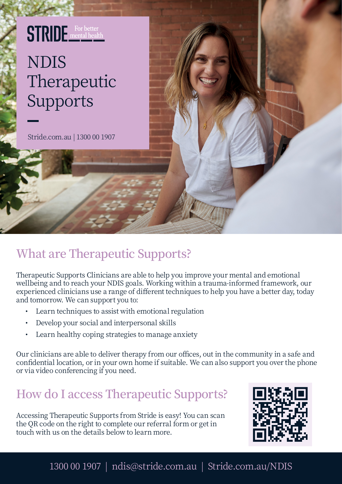## **STRIDE** For better NDIS Therapeutic Supports

Stride.com.au | 1300 00 1907

## **What are Therapeutic Supports?**

Therapeutic Supports Clinicians are able to help you improve your mental and emotional wellbeing and to reach your NDIS goals. Working within a trauma-informed framework, our experienced clinicians use a range of different techniques to help you have a better day, today and tomorrow. We can support you to:

- Learn techniques to assist with emotional regulation
- Develop your social and interpersonal skills
- Learn healthy coping strategies to manage anxiety

Our clinicians are able to deliver therapy from our offices, out in the community in a safe and confidential location, or in your own home if suitable. We can also support you over the phone or via video conferencing if you need.

## **How do I access Therapeutic Supports?**

Accessing Therapeutic Supports from Stride is easy! You can scan the QR code on the right to complete our referral form or get in touch with us on the details below to learn more.